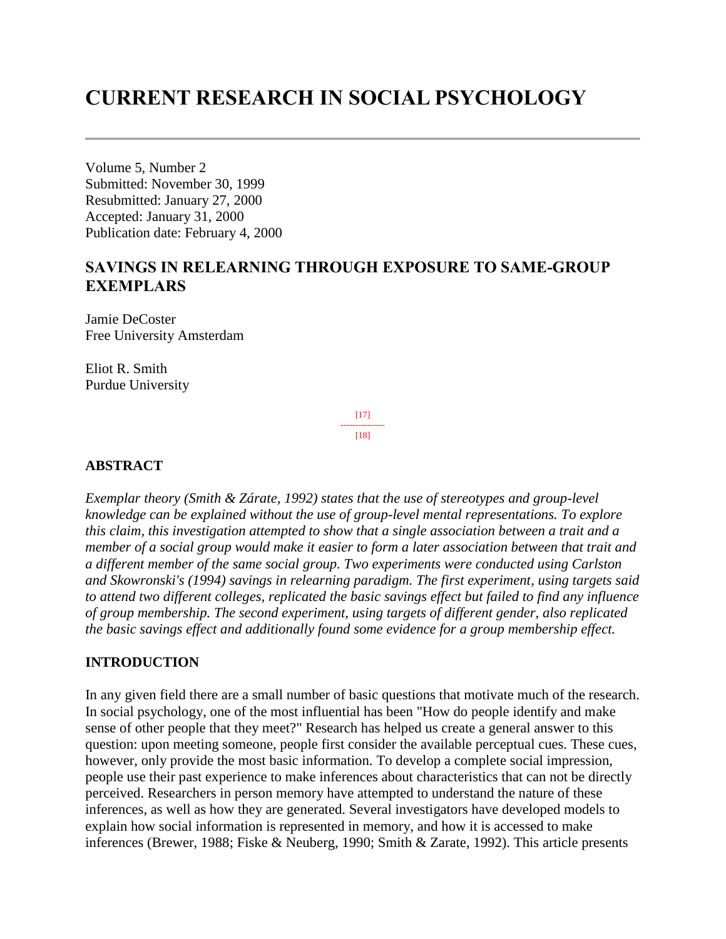# **CURRENT RESEARCH IN SOCIAL PSYCHOLOGY**

Volume 5, Number 2 Submitted: November 30, 1999 Resubmitted: January 27, 2000 Accepted: January 31, 2000 Publication date: February 4, 2000

# **SAVINGS IN RELEARNING THROUGH EXPOSURE TO SAME-GROUP EXEMPLARS**

Jamie DeCoster Free University Amsterdam

Eliot R. Smith Purdue University

> [17] --------------- [18]

#### **ABSTRACT**

*Exemplar theory (Smith & Zárate, 1992) states that the use of stereotypes and group-level knowledge can be explained without the use of group-level mental representations. To explore this claim, this investigation attempted to show that a single association between a trait and a member of a social group would make it easier to form a later association between that trait and a different member of the same social group. Two experiments were conducted using Carlston and Skowronski's (1994) savings in relearning paradigm. The first experiment, using targets said to attend two different colleges, replicated the basic savings effect but failed to find any influence of group membership. The second experiment, using targets of different gender, also replicated the basic savings effect and additionally found some evidence for a group membership effect.*

#### **INTRODUCTION**

In any given field there are a small number of basic questions that motivate much of the research. In social psychology, one of the most influential has been "How do people identify and make sense of other people that they meet?" Research has helped us create a general answer to this question: upon meeting someone, people first consider the available perceptual cues. These cues, however, only provide the most basic information. To develop a complete social impression, people use their past experience to make inferences about characteristics that can not be directly perceived. Researchers in person memory have attempted to understand the nature of these inferences, as well as how they are generated. Several investigators have developed models to explain how social information is represented in memory, and how it is accessed to make inferences (Brewer, 1988; Fiske & Neuberg, 1990; Smith & Zarate, 1992). This article presents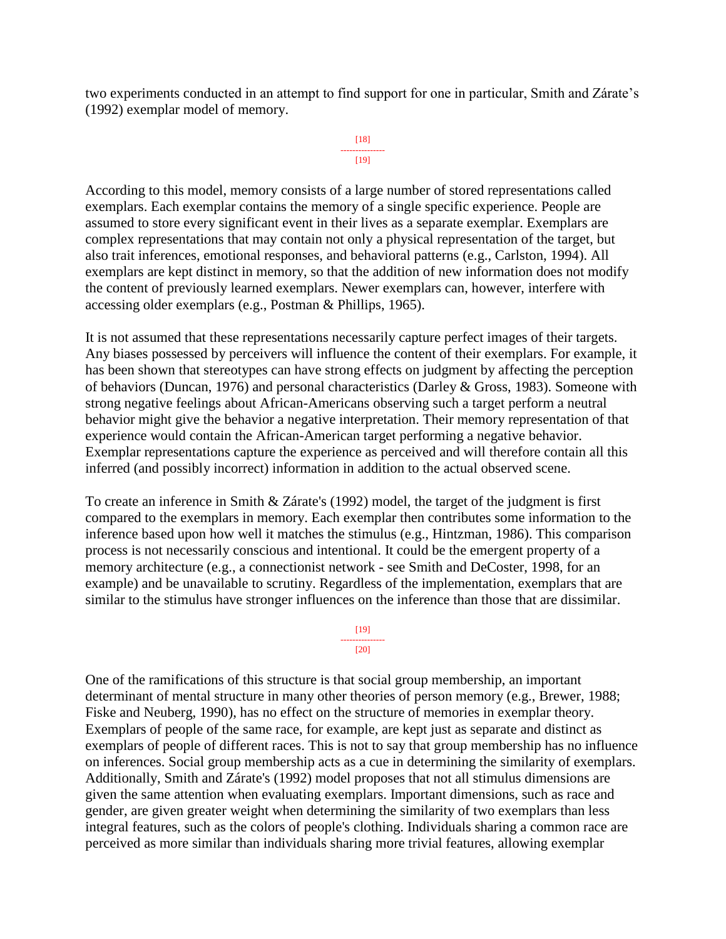two experiments conducted in an attempt to find support for one in particular, Smith and Zárate's (1992) exemplar model of memory.

```
[18]
---------------
    [19]
```
According to this model, memory consists of a large number of stored representations called exemplars. Each exemplar contains the memory of a single specific experience. People are assumed to store every significant event in their lives as a separate exemplar. Exemplars are complex representations that may contain not only a physical representation of the target, but also trait inferences, emotional responses, and behavioral patterns (e.g., Carlston, 1994). All exemplars are kept distinct in memory, so that the addition of new information does not modify the content of previously learned exemplars. Newer exemplars can, however, interfere with accessing older exemplars (e.g., Postman & Phillips, 1965).

It is not assumed that these representations necessarily capture perfect images of their targets. Any biases possessed by perceivers will influence the content of their exemplars. For example, it has been shown that stereotypes can have strong effects on judgment by affecting the perception of behaviors (Duncan, 1976) and personal characteristics (Darley & Gross, 1983). Someone with strong negative feelings about African-Americans observing such a target perform a neutral behavior might give the behavior a negative interpretation. Their memory representation of that experience would contain the African-American target performing a negative behavior. Exemplar representations capture the experience as perceived and will therefore contain all this inferred (and possibly incorrect) information in addition to the actual observed scene.

To create an inference in Smith & Zárate's (1992) model, the target of the judgment is first compared to the exemplars in memory. Each exemplar then contributes some information to the inference based upon how well it matches the stimulus (e.g., Hintzman, 1986). This comparison process is not necessarily conscious and intentional. It could be the emergent property of a memory architecture (e.g., a connectionist network - see Smith and DeCoster, 1998, for an example) and be unavailable to scrutiny. Regardless of the implementation, exemplars that are similar to the stimulus have stronger influences on the inference than those that are dissimilar.

> [19] --------------- [20]

One of the ramifications of this structure is that social group membership, an important determinant of mental structure in many other theories of person memory (e.g., Brewer, 1988; Fiske and Neuberg, 1990), has no effect on the structure of memories in exemplar theory. Exemplars of people of the same race, for example, are kept just as separate and distinct as exemplars of people of different races. This is not to say that group membership has no influence on inferences. Social group membership acts as a cue in determining the similarity of exemplars. Additionally, Smith and Zárate's (1992) model proposes that not all stimulus dimensions are given the same attention when evaluating exemplars. Important dimensions, such as race and gender, are given greater weight when determining the similarity of two exemplars than less integral features, such as the colors of people's clothing. Individuals sharing a common race are perceived as more similar than individuals sharing more trivial features, allowing exemplar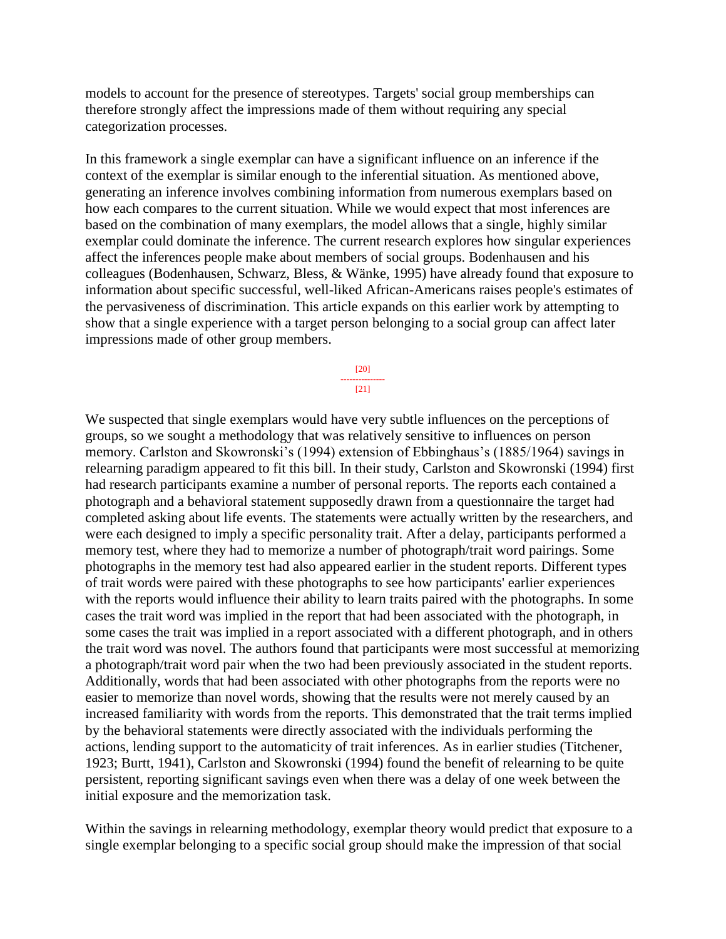models to account for the presence of stereotypes. Targets' social group memberships can therefore strongly affect the impressions made of them without requiring any special categorization processes.

In this framework a single exemplar can have a significant influence on an inference if the context of the exemplar is similar enough to the inferential situation. As mentioned above, generating an inference involves combining information from numerous exemplars based on how each compares to the current situation. While we would expect that most inferences are based on the combination of many exemplars, the model allows that a single, highly similar exemplar could dominate the inference. The current research explores how singular experiences affect the inferences people make about members of social groups. Bodenhausen and his colleagues (Bodenhausen, Schwarz, Bless, & Wänke, 1995) have already found that exposure to information about specific successful, well-liked African-Americans raises people's estimates of the pervasiveness of discrimination. This article expands on this earlier work by attempting to show that a single experience with a target person belonging to a social group can affect later impressions made of other group members.

> [20] --------------- [21]

We suspected that single exemplars would have very subtle influences on the perceptions of groups, so we sought a methodology that was relatively sensitive to influences on person memory. Carlston and Skowronski's (1994) extension of Ebbinghaus's (1885/1964) savings in relearning paradigm appeared to fit this bill. In their study, Carlston and Skowronski (1994) first had research participants examine a number of personal reports. The reports each contained a photograph and a behavioral statement supposedly drawn from a questionnaire the target had completed asking about life events. The statements were actually written by the researchers, and were each designed to imply a specific personality trait. After a delay, participants performed a memory test, where they had to memorize a number of photograph/trait word pairings. Some photographs in the memory test had also appeared earlier in the student reports. Different types of trait words were paired with these photographs to see how participants' earlier experiences with the reports would influence their ability to learn traits paired with the photographs. In some cases the trait word was implied in the report that had been associated with the photograph, in some cases the trait was implied in a report associated with a different photograph, and in others the trait word was novel. The authors found that participants were most successful at memorizing a photograph/trait word pair when the two had been previously associated in the student reports. Additionally, words that had been associated with other photographs from the reports were no easier to memorize than novel words, showing that the results were not merely caused by an increased familiarity with words from the reports. This demonstrated that the trait terms implied by the behavioral statements were directly associated with the individuals performing the actions, lending support to the automaticity of trait inferences. As in earlier studies (Titchener, 1923; Burtt, 1941), Carlston and Skowronski (1994) found the benefit of relearning to be quite persistent, reporting significant savings even when there was a delay of one week between the initial exposure and the memorization task.

Within the savings in relearning methodology, exemplar theory would predict that exposure to a single exemplar belonging to a specific social group should make the impression of that social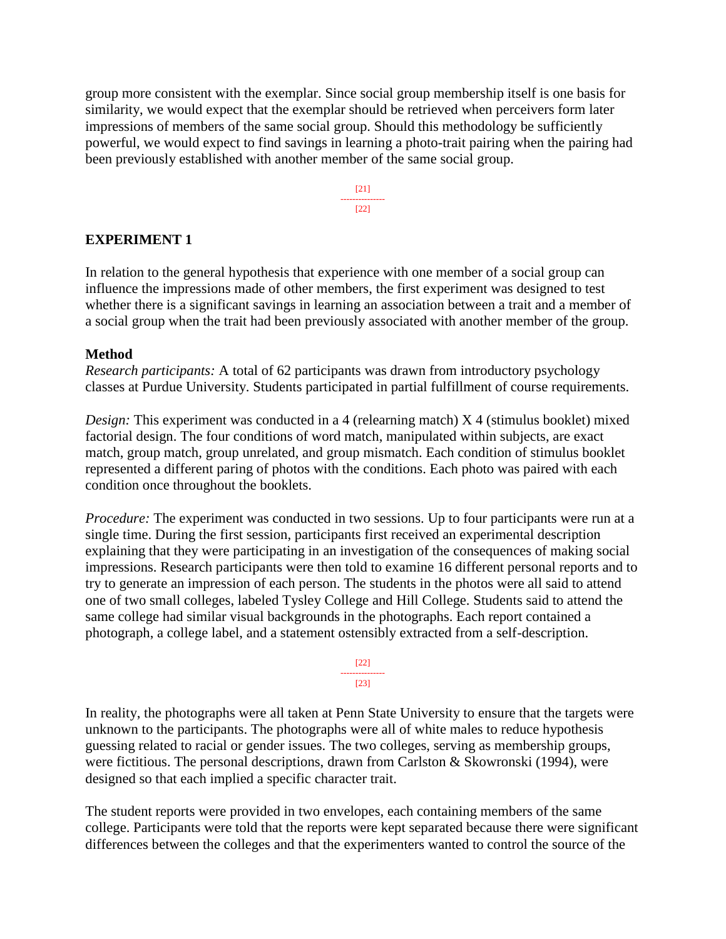group more consistent with the exemplar. Since social group membership itself is one basis for similarity, we would expect that the exemplar should be retrieved when perceivers form later impressions of members of the same social group. Should this methodology be sufficiently powerful, we would expect to find savings in learning a photo-trait pairing when the pairing had been previously established with another member of the same social group.

> [21] --------------- [22]

#### **EXPERIMENT 1**

In relation to the general hypothesis that experience with one member of a social group can influence the impressions made of other members, the first experiment was designed to test whether there is a significant savings in learning an association between a trait and a member of a social group when the trait had been previously associated with another member of the group.

#### **Method**

*Research participants:* A total of 62 participants was drawn from introductory psychology classes at Purdue University. Students participated in partial fulfillment of course requirements.

*Design:* This experiment was conducted in a 4 (relearning match) X 4 (stimulus booklet) mixed factorial design. The four conditions of word match, manipulated within subjects, are exact match, group match, group unrelated, and group mismatch. Each condition of stimulus booklet represented a different paring of photos with the conditions. Each photo was paired with each condition once throughout the booklets.

*Procedure:* The experiment was conducted in two sessions. Up to four participants were run at a single time. During the first session, participants first received an experimental description explaining that they were participating in an investigation of the consequences of making social impressions. Research participants were then told to examine 16 different personal reports and to try to generate an impression of each person. The students in the photos were all said to attend one of two small colleges, labeled Tysley College and Hill College. Students said to attend the same college had similar visual backgrounds in the photographs. Each report contained a photograph, a college label, and a statement ostensibly extracted from a self-description.



In reality, the photographs were all taken at Penn State University to ensure that the targets were unknown to the participants. The photographs were all of white males to reduce hypothesis guessing related to racial or gender issues. The two colleges, serving as membership groups, were fictitious. The personal descriptions, drawn from Carlston & Skowronski (1994), were designed so that each implied a specific character trait.

The student reports were provided in two envelopes, each containing members of the same college. Participants were told that the reports were kept separated because there were significant differences between the colleges and that the experimenters wanted to control the source of the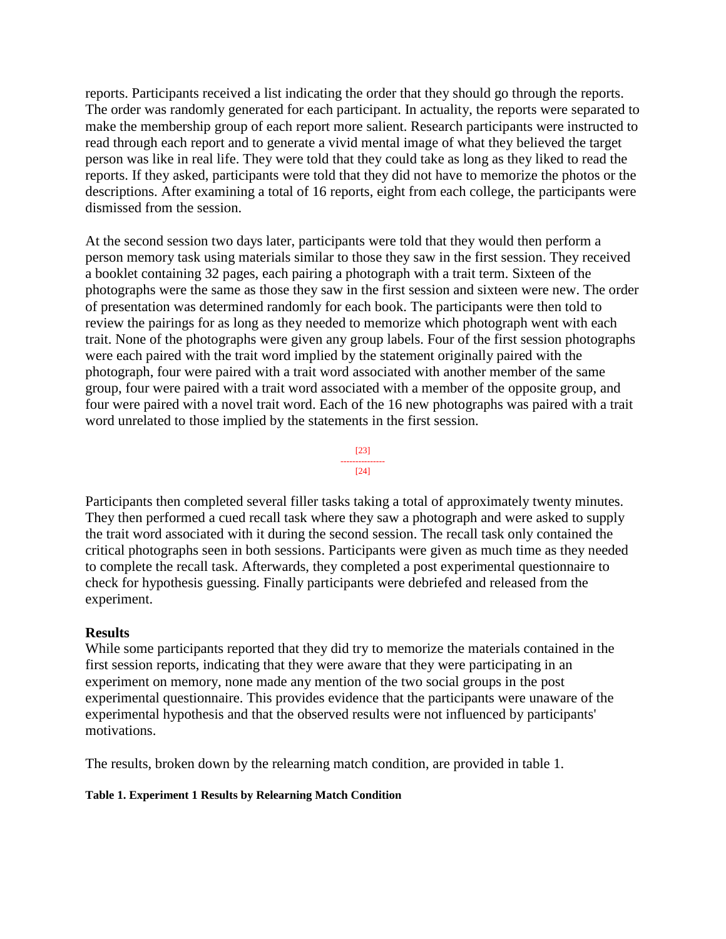reports. Participants received a list indicating the order that they should go through the reports. The order was randomly generated for each participant. In actuality, the reports were separated to make the membership group of each report more salient. Research participants were instructed to read through each report and to generate a vivid mental image of what they believed the target person was like in real life. They were told that they could take as long as they liked to read the reports. If they asked, participants were told that they did not have to memorize the photos or the descriptions. After examining a total of 16 reports, eight from each college, the participants were dismissed from the session.

At the second session two days later, participants were told that they would then perform a person memory task using materials similar to those they saw in the first session. They received a booklet containing 32 pages, each pairing a photograph with a trait term. Sixteen of the photographs were the same as those they saw in the first session and sixteen were new. The order of presentation was determined randomly for each book. The participants were then told to review the pairings for as long as they needed to memorize which photograph went with each trait. None of the photographs were given any group labels. Four of the first session photographs were each paired with the trait word implied by the statement originally paired with the photograph, four were paired with a trait word associated with another member of the same group, four were paired with a trait word associated with a member of the opposite group, and four were paired with a novel trait word. Each of the 16 new photographs was paired with a trait word unrelated to those implied by the statements in the first session.



Participants then completed several filler tasks taking a total of approximately twenty minutes. They then performed a cued recall task where they saw a photograph and were asked to supply the trait word associated with it during the second session. The recall task only contained the critical photographs seen in both sessions. Participants were given as much time as they needed to complete the recall task. Afterwards, they completed a post experimental questionnaire to check for hypothesis guessing. Finally participants were debriefed and released from the experiment.

#### **Results**

While some participants reported that they did try to memorize the materials contained in the first session reports, indicating that they were aware that they were participating in an experiment on memory, none made any mention of the two social groups in the post experimental questionnaire. This provides evidence that the participants were unaware of the experimental hypothesis and that the observed results were not influenced by participants' motivations.

The results, broken down by the relearning match condition, are provided in table 1.

#### **Table 1. Experiment 1 Results by Relearning Match Condition**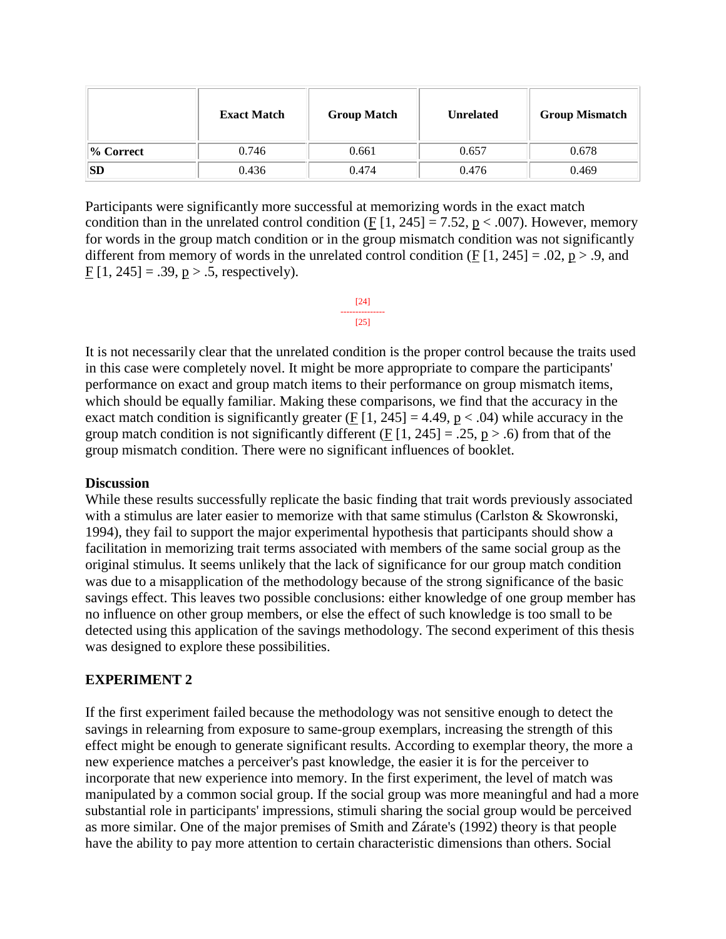|              | <b>Exact Match</b> | <b>Group Match</b> | <b>Unrelated</b> | <b>Group Mismatch</b> |
|--------------|--------------------|--------------------|------------------|-----------------------|
| $\%$ Correct | 0.746              | 0.661              | 0.657            | 0.678                 |
| SD           | 0.436              | 0.474              | 0.476            | 0.469                 |

Participants were significantly more successful at memorizing words in the exact match condition than in the unrelated control condition (F  $[1, 245] = 7.52$ , p < .007). However, memory for words in the group match condition or in the group mismatch condition was not significantly different from memory of words in the unrelated control condition (F  $[1, 245] = .02$ ,  $p > .9$ , and F  $[1, 245] = .39$ ,  $p > .5$ , respectively).

It is not necessarily clear that the unrelated condition is the proper control because the traits used in this case were completely novel. It might be more appropriate to compare the participants' performance on exact and group match items to their performance on group mismatch items, which should be equally familiar. Making these comparisons, we find that the accuracy in the exact match condition is significantly greater (F  $[1, 245] = 4.49$ ,  $p < .04$ ) while accuracy in the group match condition is not significantly different (F  $[1, 245] = .25$ , p > .6) from that of the group mismatch condition. There were no significant influences of booklet.

#### **Discussion**

While these results successfully replicate the basic finding that trait words previously associated with a stimulus are later easier to memorize with that same stimulus (Carlston & Skowronski, 1994), they fail to support the major experimental hypothesis that participants should show a facilitation in memorizing trait terms associated with members of the same social group as the original stimulus. It seems unlikely that the lack of significance for our group match condition was due to a misapplication of the methodology because of the strong significance of the basic savings effect. This leaves two possible conclusions: either knowledge of one group member has no influence on other group members, or else the effect of such knowledge is too small to be detected using this application of the savings methodology. The second experiment of this thesis was designed to explore these possibilities.

#### **EXPERIMENT 2**

If the first experiment failed because the methodology was not sensitive enough to detect the savings in relearning from exposure to same-group exemplars, increasing the strength of this effect might be enough to generate significant results. According to exemplar theory, the more a new experience matches a perceiver's past knowledge, the easier it is for the perceiver to incorporate that new experience into memory. In the first experiment, the level of match was manipulated by a common social group. If the social group was more meaningful and had a more substantial role in participants' impressions, stimuli sharing the social group would be perceived as more similar. One of the major premises of Smith and Zárate's (1992) theory is that people have the ability to pay more attention to certain characteristic dimensions than others. Social

[24] ---------------  $[25]$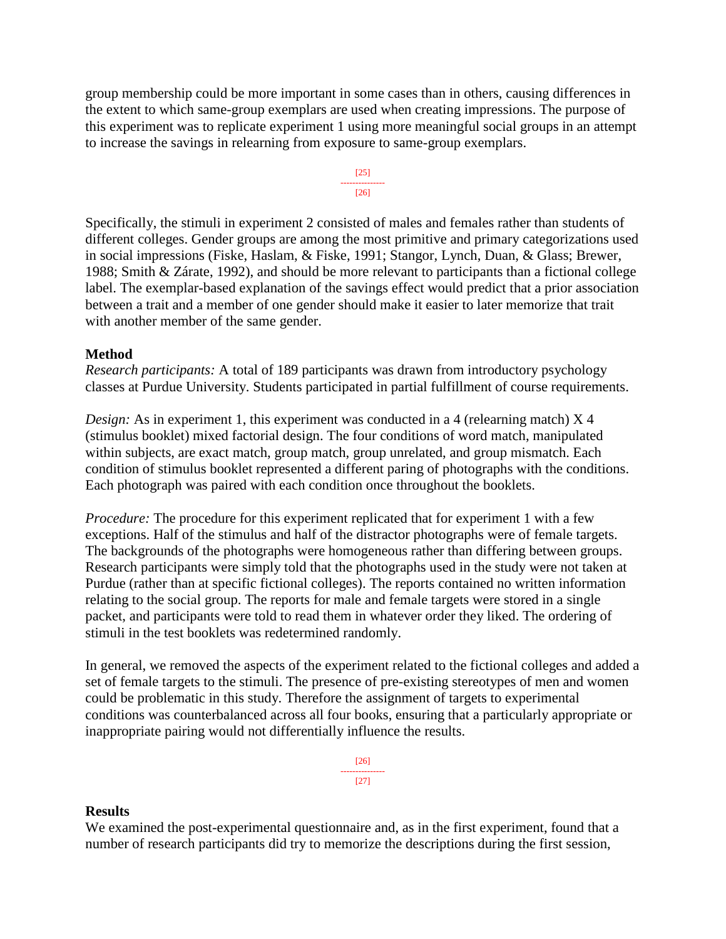group membership could be more important in some cases than in others, causing differences in the extent to which same-group exemplars are used when creating impressions. The purpose of this experiment was to replicate experiment 1 using more meaningful social groups in an attempt to increase the savings in relearning from exposure to same-group exemplars.



Specifically, the stimuli in experiment 2 consisted of males and females rather than students of different colleges. Gender groups are among the most primitive and primary categorizations used in social impressions (Fiske, Haslam, & Fiske, 1991; Stangor, Lynch, Duan, & Glass; Brewer, 1988; Smith & Zárate, 1992), and should be more relevant to participants than a fictional college label. The exemplar-based explanation of the savings effect would predict that a prior association between a trait and a member of one gender should make it easier to later memorize that trait with another member of the same gender.

#### **Method**

*Research participants:* A total of 189 participants was drawn from introductory psychology classes at Purdue University. Students participated in partial fulfillment of course requirements.

*Design:* As in experiment 1, this experiment was conducted in a 4 (relearning match) X 4 (stimulus booklet) mixed factorial design. The four conditions of word match, manipulated within subjects, are exact match, group match, group unrelated, and group mismatch. Each condition of stimulus booklet represented a different paring of photographs with the conditions. Each photograph was paired with each condition once throughout the booklets.

*Procedure:* The procedure for this experiment replicated that for experiment 1 with a few exceptions. Half of the stimulus and half of the distractor photographs were of female targets. The backgrounds of the photographs were homogeneous rather than differing between groups. Research participants were simply told that the photographs used in the study were not taken at Purdue (rather than at specific fictional colleges). The reports contained no written information relating to the social group. The reports for male and female targets were stored in a single packet, and participants were told to read them in whatever order they liked. The ordering of stimuli in the test booklets was redetermined randomly.

In general, we removed the aspects of the experiment related to the fictional colleges and added a set of female targets to the stimuli. The presence of pre-existing stereotypes of men and women could be problematic in this study. Therefore the assignment of targets to experimental conditions was counterbalanced across all four books, ensuring that a particularly appropriate or inappropriate pairing would not differentially influence the results.

> [26] --------------- [27]

#### **Results**

We examined the post-experimental questionnaire and, as in the first experiment, found that a number of research participants did try to memorize the descriptions during the first session,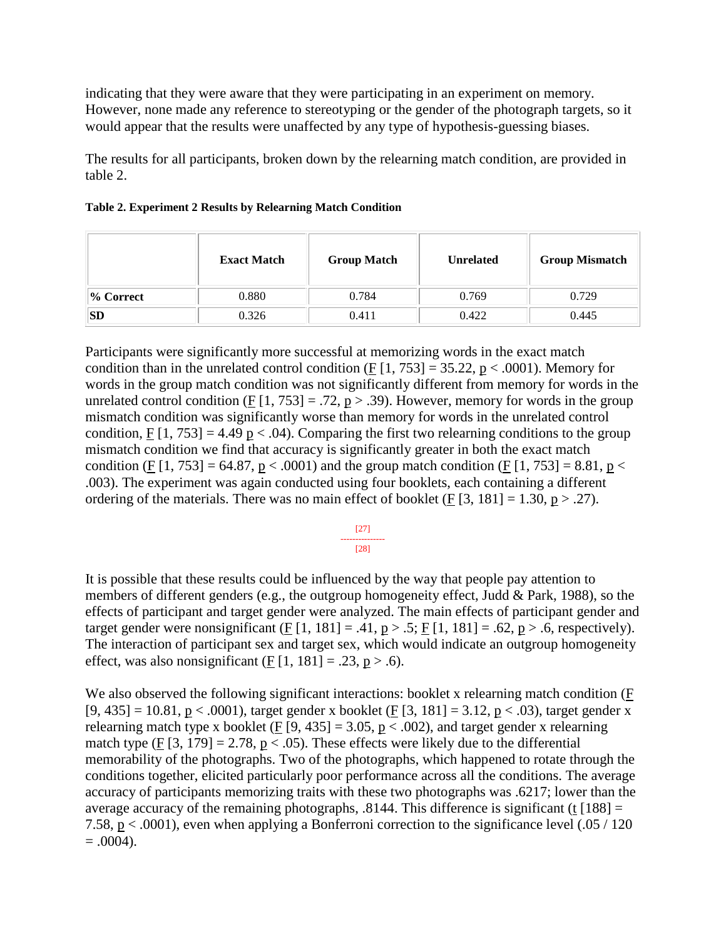indicating that they were aware that they were participating in an experiment on memory. However, none made any reference to stereotyping or the gender of the photograph targets, so it would appear that the results were unaffected by any type of hypothesis-guessing biases.

The results for all participants, broken down by the relearning match condition, are provided in table 2.

|              | <b>Exact Match</b> | <b>Group Match</b> | <b>Unrelated</b> | <b>Group Mismatch</b> |
|--------------|--------------------|--------------------|------------------|-----------------------|
| $\%$ Correct | 0.880              | 0.784              | 0.769            | 0.729                 |
| SD           | 0.326              | 0.411              | 0.422            | 0.445                 |

#### **Table 2. Experiment 2 Results by Relearning Match Condition**

Participants were significantly more successful at memorizing words in the exact match condition than in the unrelated control condition (F  $[1, 753] = 35.22$ , p < .0001). Memory for words in the group match condition was not significantly different from memory for words in the unrelated control condition (F  $[1, 753] = .72$ , p > .39). However, memory for words in the group mismatch condition was significantly worse than memory for words in the unrelated control condition, F  $[1, 753] = 4.49$  p < .04). Comparing the first two relearning conditions to the group mismatch condition we find that accuracy is significantly greater in both the exact match condition (F [1, 753] = 64.87, p < .0001) and the group match condition (F [1, 753] = 8.81, p < .003). The experiment was again conducted using four booklets, each containing a different ordering of the materials. There was no main effect of booklet (F  $[3, 181] = 1.30$ , p > .27).

#### [27] --------------- [28]

It is possible that these results could be influenced by the way that people pay attention to members of different genders (e.g., the outgroup homogeneity effect, Judd & Park, 1988), so the effects of participant and target gender were analyzed. The main effects of participant gender and target gender were nonsignificant (F [1, 181] = .41,  $p > .5$ ; F [1, 181] = .62,  $p > .6$ , respectively). The interaction of participant sex and target sex, which would indicate an outgroup homogeneity effect, was also nonsignificant (F  $[1, 181] = .23$ , p > .6).

We also observed the following significant interactions: booklet x relearning match condition (F  $[9, 435] = 10.81$ , p < .0001), target gender x booklet (F [3, 181] = 3.12, p < .03), target gender x relearning match type x booklet (F [9, 435] = 3.05,  $p < .002$ ), and target gender x relearning match type  $(E[3, 179] = 2.78, p < .05)$ . These effects were likely due to the differential memorability of the photographs. Two of the photographs, which happened to rotate through the conditions together, elicited particularly poor performance across all the conditions. The average accuracy of participants memorizing traits with these two photographs was .6217; lower than the average accuracy of the remaining photographs,  $.8144$ . This difference is significant (t [188] = 7.58, p < .0001), even when applying a Bonferroni correction to the significance level (.05 / 120  $= .0004$ ).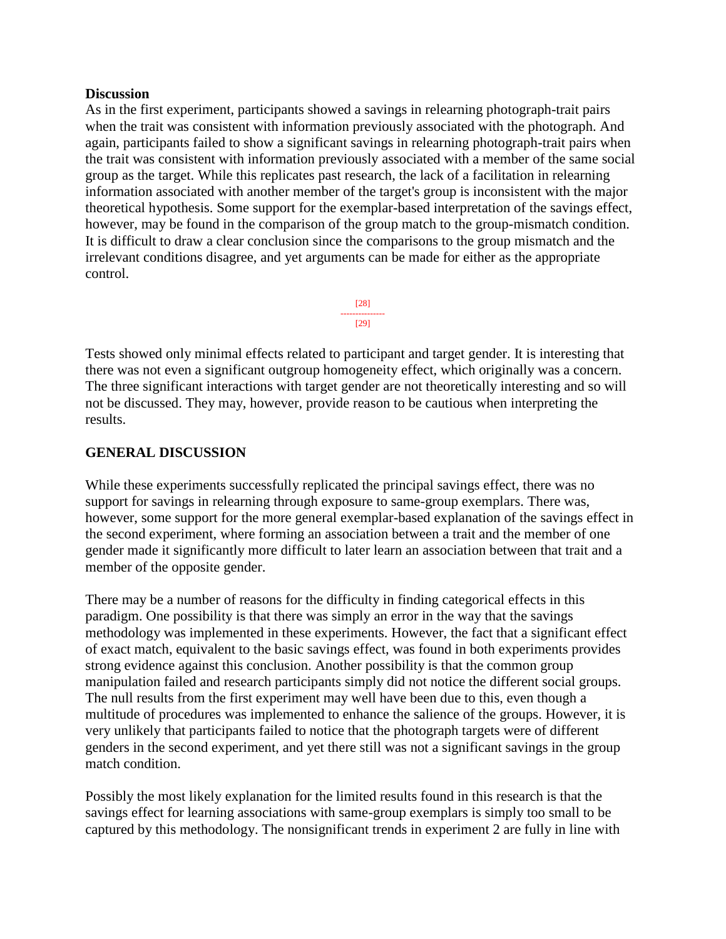#### **Discussion**

As in the first experiment, participants showed a savings in relearning photograph-trait pairs when the trait was consistent with information previously associated with the photograph. And again, participants failed to show a significant savings in relearning photograph-trait pairs when the trait was consistent with information previously associated with a member of the same social group as the target. While this replicates past research, the lack of a facilitation in relearning information associated with another member of the target's group is inconsistent with the major theoretical hypothesis. Some support for the exemplar-based interpretation of the savings effect, however, may be found in the comparison of the group match to the group-mismatch condition. It is difficult to draw a clear conclusion since the comparisons to the group mismatch and the irrelevant conditions disagree, and yet arguments can be made for either as the appropriate control.



Tests showed only minimal effects related to participant and target gender. It is interesting that there was not even a significant outgroup homogeneity effect, which originally was a concern. The three significant interactions with target gender are not theoretically interesting and so will not be discussed. They may, however, provide reason to be cautious when interpreting the results.

### **GENERAL DISCUSSION**

While these experiments successfully replicated the principal savings effect, there was no support for savings in relearning through exposure to same-group exemplars. There was, however, some support for the more general exemplar-based explanation of the savings effect in the second experiment, where forming an association between a trait and the member of one gender made it significantly more difficult to later learn an association between that trait and a member of the opposite gender.

There may be a number of reasons for the difficulty in finding categorical effects in this paradigm. One possibility is that there was simply an error in the way that the savings methodology was implemented in these experiments. However, the fact that a significant effect of exact match, equivalent to the basic savings effect, was found in both experiments provides strong evidence against this conclusion. Another possibility is that the common group manipulation failed and research participants simply did not notice the different social groups. The null results from the first experiment may well have been due to this, even though a multitude of procedures was implemented to enhance the salience of the groups. However, it is very unlikely that participants failed to notice that the photograph targets were of different genders in the second experiment, and yet there still was not a significant savings in the group match condition.

Possibly the most likely explanation for the limited results found in this research is that the savings effect for learning associations with same-group exemplars is simply too small to be captured by this methodology. The nonsignificant trends in experiment 2 are fully in line with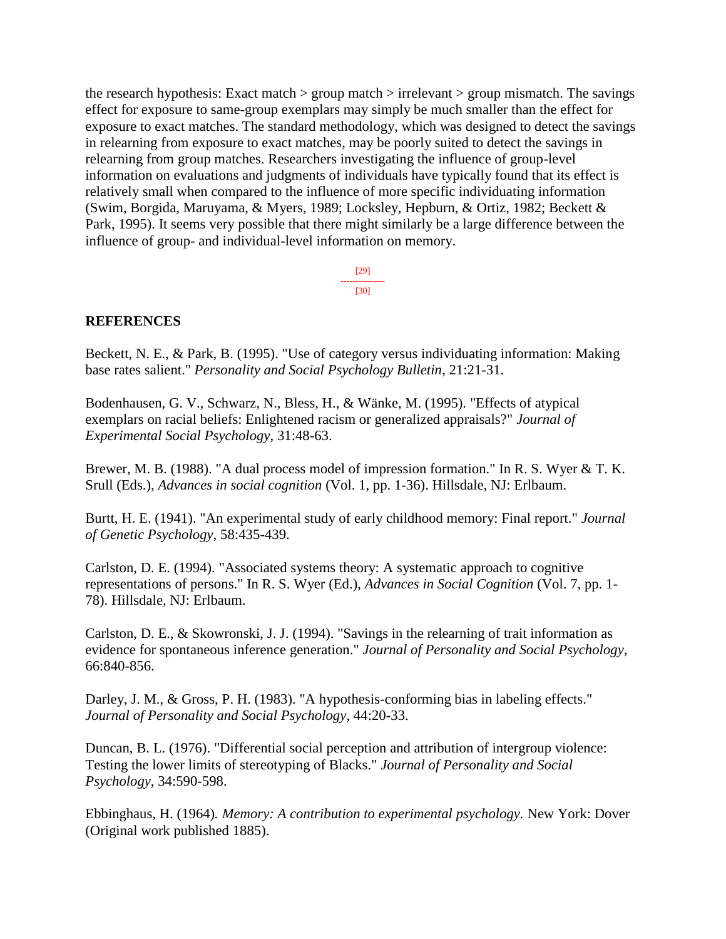the research hypothesis: Exact match  $>$  group match  $>$  irrelevant  $>$  group mismatch. The savings effect for exposure to same-group exemplars may simply be much smaller than the effect for exposure to exact matches. The standard methodology, which was designed to detect the savings in relearning from exposure to exact matches, may be poorly suited to detect the savings in relearning from group matches. Researchers investigating the influence of group-level information on evaluations and judgments of individuals have typically found that its effect is relatively small when compared to the influence of more specific individuating information (Swim, Borgida, Maruyama, & Myers, 1989; Locksley, Hepburn, & Ortiz, 1982; Beckett & Park, 1995). It seems very possible that there might similarly be a large difference between the influence of group- and individual-level information on memory.

> [29] --------------- [30]

#### **REFERENCES**

Beckett, N. E., & Park, B. (1995). "Use of category versus individuating information: Making base rates salient." *Personality and Social Psychology Bulletin*, 21:21-31.

Bodenhausen, G. V., Schwarz, N., Bless, H., & Wänke, M. (1995). "Effects of atypical exemplars on racial beliefs: Enlightened racism or generalized appraisals?" *Journal of Experimental Social Psychology*, 31:48-63.

Brewer, M. B. (1988). "A dual process model of impression formation." In R. S. Wyer & T. K. Srull (Eds.), *Advances in social cognition* (Vol. 1, pp. 1-36). Hillsdale, NJ: Erlbaum.

Burtt, H. E. (1941). "An experimental study of early childhood memory: Final report." *Journal of Genetic Psychology*, 58:435-439.

Carlston, D. E. (1994). "Associated systems theory: A systematic approach to cognitive representations of persons." In R. S. Wyer (Ed.), *Advances in Social Cognition* (Vol. 7, pp. 1- 78). Hillsdale, NJ: Erlbaum.

Carlston, D. E., & Skowronski, J. J. (1994). "Savings in the relearning of trait information as evidence for spontaneous inference generation." *Journal of Personality and Social Psychology*, 66:840-856.

Darley, J. M., & Gross, P. H. (1983). "A hypothesis-conforming bias in labeling effects." *Journal of Personality and Social Psychology*, 44:20-33.

Duncan, B. L. (1976). "Differential social perception and attribution of intergroup violence: Testing the lower limits of stereotyping of Blacks." *Journal of Personality and Social Psychology*, 34:590-598.

Ebbinghaus, H. (1964)*. Memory: A contribution to experimental psychology.* New York: Dover (Original work published 1885).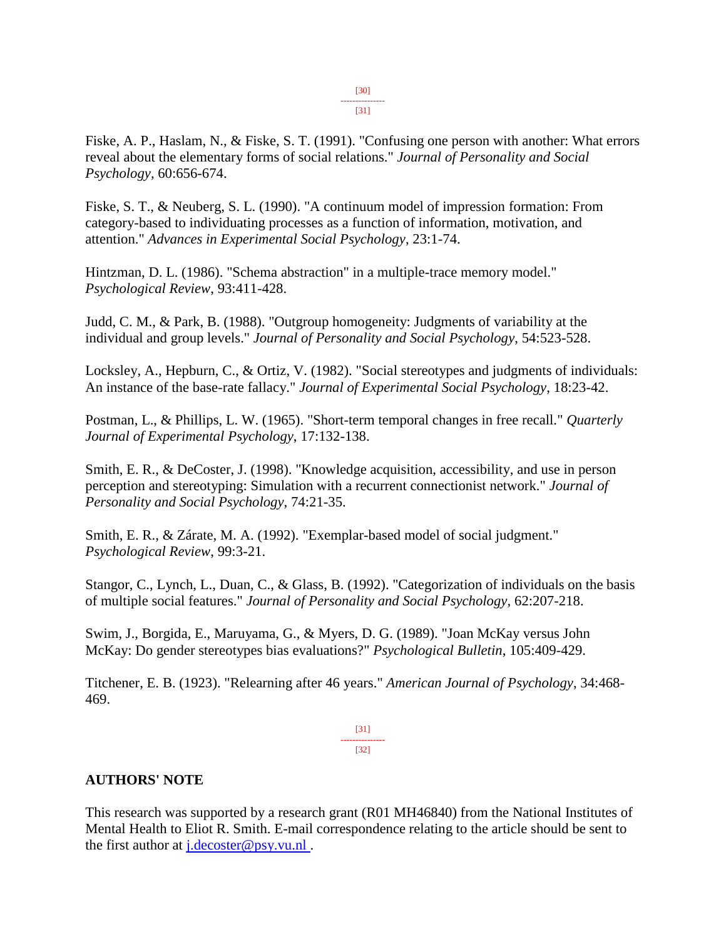Fiske, A. P., Haslam, N., & Fiske, S. T. (1991). "Confusing one person with another: What errors reveal about the elementary forms of social relations." *Journal of Personality and Social Psychology,* 60:656-674.

Fiske, S. T., & Neuberg, S. L. (1990). "A continuum model of impression formation: From category-based to individuating processes as a function of information, motivation, and attention." *Advances in Experimental Social Psychology*, 23:1-74.

Hintzman, D. L. (1986). "Schema abstraction" in a multiple-trace memory model." *Psychological Review*, 93:411-428.

Judd, C. M., & Park, B. (1988). "Outgroup homogeneity: Judgments of variability at the individual and group levels." *Journal of Personality and Social Psychology*, 54:523-528.

Locksley, A., Hepburn, C., & Ortiz, V. (1982). "Social stereotypes and judgments of individuals: An instance of the base-rate fallacy." *Journal of Experimental Social Psychology*, 18:23-42.

Postman, L., & Phillips, L. W. (1965). "Short-term temporal changes in free recall." *Quarterly Journal of Experimental Psychology*, 17:132-138.

Smith, E. R., & DeCoster, J. (1998). "Knowledge acquisition, accessibility, and use in person perception and stereotyping: Simulation with a recurrent connectionist network." *Journal of Personality and Social Psychology*, 74:21-35.

Smith, E. R., & Zárate, M. A. (1992). "Exemplar-based model of social judgment." *Psychological Review*, 99:3-21.

Stangor, C., Lynch, L., Duan, C., & Glass, B. (1992). "Categorization of individuals on the basis of multiple social features." *Journal of Personality and Social Psychology*, 62:207-218.

Swim, J., Borgida, E., Maruyama, G., & Myers, D. G. (1989). "Joan McKay versus John McKay: Do gender stereotypes bias evaluations?" *Psychological Bulletin*, 105:409-429.

Titchener, E. B. (1923). "Relearning after 46 years." *American Journal of Psychology*, 34:468- 469.

> [31] --------------- [32]

#### **AUTHORS' NOTE**

This research was supported by a research grant (R01 MH46840) from the National Institutes of Mental Health to Eliot R. Smith. E-mail correspondence relating to the article should be sent to the first author at  $i.decoster@psy.vu.nl$ .